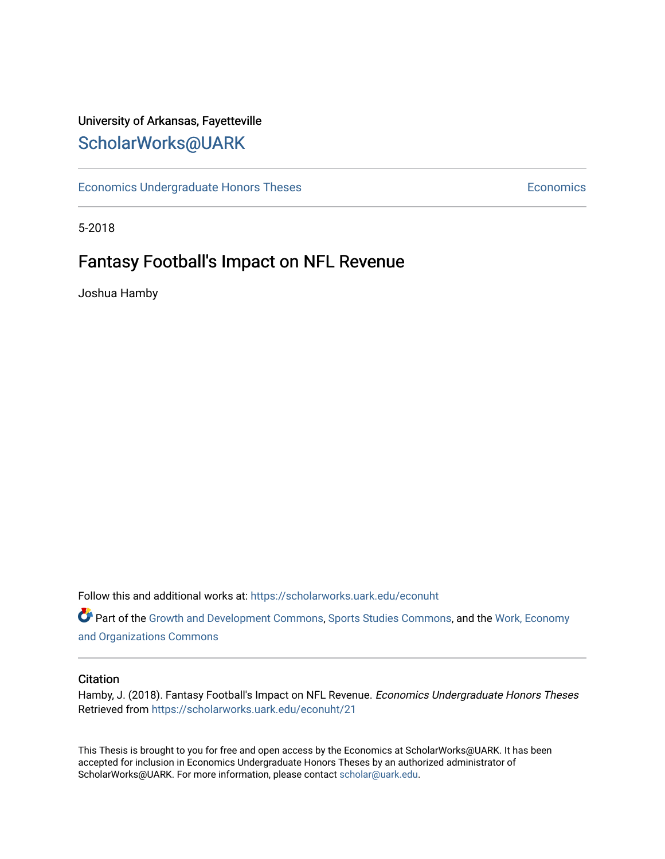# University of Arkansas, Fayetteville [ScholarWorks@UARK](https://scholarworks.uark.edu/)

[Economics Undergraduate Honors Theses](https://scholarworks.uark.edu/econuht) **Economics** Economics

5-2018

# Fantasy Football's Impact on NFL Revenue

Joshua Hamby

Follow this and additional works at: [https://scholarworks.uark.edu/econuht](https://scholarworks.uark.edu/econuht?utm_source=scholarworks.uark.edu%2Feconuht%2F21&utm_medium=PDF&utm_campaign=PDFCoverPages)

Part of the [Growth and Development Commons,](http://network.bepress.com/hgg/discipline/346?utm_source=scholarworks.uark.edu%2Feconuht%2F21&utm_medium=PDF&utm_campaign=PDFCoverPages) [Sports Studies Commons,](http://network.bepress.com/hgg/discipline/1198?utm_source=scholarworks.uark.edu%2Feconuht%2F21&utm_medium=PDF&utm_campaign=PDFCoverPages) and the [Work, Economy](http://network.bepress.com/hgg/discipline/433?utm_source=scholarworks.uark.edu%2Feconuht%2F21&utm_medium=PDF&utm_campaign=PDFCoverPages)  [and Organizations Commons](http://network.bepress.com/hgg/discipline/433?utm_source=scholarworks.uark.edu%2Feconuht%2F21&utm_medium=PDF&utm_campaign=PDFCoverPages)

### **Citation**

Hamby, J. (2018). Fantasy Football's Impact on NFL Revenue. Economics Undergraduate Honors Theses Retrieved from [https://scholarworks.uark.edu/econuht/21](https://scholarworks.uark.edu/econuht/21?utm_source=scholarworks.uark.edu%2Feconuht%2F21&utm_medium=PDF&utm_campaign=PDFCoverPages)

This Thesis is brought to you for free and open access by the Economics at ScholarWorks@UARK. It has been accepted for inclusion in Economics Undergraduate Honors Theses by an authorized administrator of ScholarWorks@UARK. For more information, please contact [scholar@uark.edu](mailto:scholar@uark.edu).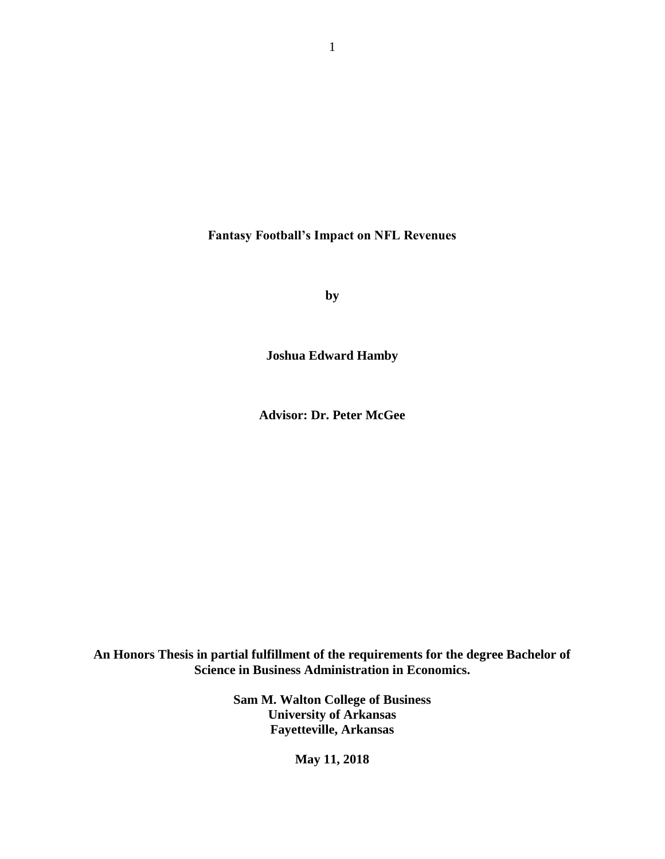**Fantasy Football's Impact on NFL Revenues**

**by**

**Joshua Edward Hamby**

**Advisor: Dr. Peter McGee**

**An Honors Thesis in partial fulfillment of the requirements for the degree Bachelor of Science in Business Administration in Economics.**

> **Sam M. Walton College of Business University of Arkansas Fayetteville, Arkansas**

> > **May 11, 2018**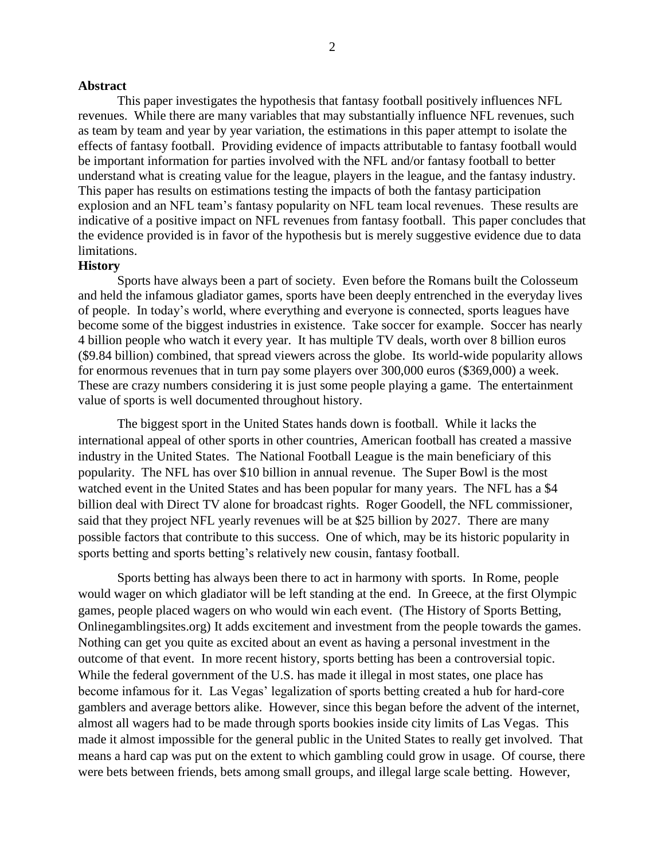#### **Abstract**

This paper investigates the hypothesis that fantasy football positively influences NFL revenues. While there are many variables that may substantially influence NFL revenues, such as team by team and year by year variation, the estimations in this paper attempt to isolate the effects of fantasy football. Providing evidence of impacts attributable to fantasy football would be important information for parties involved with the NFL and/or fantasy football to better understand what is creating value for the league, players in the league, and the fantasy industry. This paper has results on estimations testing the impacts of both the fantasy participation explosion and an NFL team's fantasy popularity on NFL team local revenues. These results are indicative of a positive impact on NFL revenues from fantasy football. This paper concludes that the evidence provided is in favor of the hypothesis but is merely suggestive evidence due to data limitations.

# **History**

Sports have always been a part of society. Even before the Romans built the Colosseum and held the infamous gladiator games, sports have been deeply entrenched in the everyday lives of people. In today's world, where everything and everyone is connected, sports leagues have become some of the biggest industries in existence. Take soccer for example. Soccer has nearly 4 billion people who watch it every year. It has multiple TV deals, worth over 8 billion euros (\$9.84 billion) combined, that spread viewers across the globe. Its world-wide popularity allows for enormous revenues that in turn pay some players over 300,000 euros (\$369,000) a week. These are crazy numbers considering it is just some people playing a game. The entertainment value of sports is well documented throughout history.

The biggest sport in the United States hands down is football. While it lacks the international appeal of other sports in other countries, American football has created a massive industry in the United States. The National Football League is the main beneficiary of this popularity. The NFL has over \$10 billion in annual revenue. The Super Bowl is the most watched event in the United States and has been popular for many years. The NFL has a \$4 billion deal with Direct TV alone for broadcast rights. Roger Goodell, the NFL commissioner, said that they project NFL yearly revenues will be at \$25 billion by 2027. There are many possible factors that contribute to this success. One of which, may be its historic popularity in sports betting and sports betting's relatively new cousin, fantasy football.

Sports betting has always been there to act in harmony with sports. In Rome, people would wager on which gladiator will be left standing at the end. In Greece, at the first Olympic games, people placed wagers on who would win each event. (The History of Sports Betting, Onlinegamblingsites.org) It adds excitement and investment from the people towards the games. Nothing can get you quite as excited about an event as having a personal investment in the outcome of that event. In more recent history, sports betting has been a controversial topic. While the federal government of the U.S. has made it illegal in most states, one place has become infamous for it. Las Vegas' legalization of sports betting created a hub for hard-core gamblers and average bettors alike. However, since this began before the advent of the internet, almost all wagers had to be made through sports bookies inside city limits of Las Vegas. This made it almost impossible for the general public in the United States to really get involved. That means a hard cap was put on the extent to which gambling could grow in usage. Of course, there were bets between friends, bets among small groups, and illegal large scale betting. However,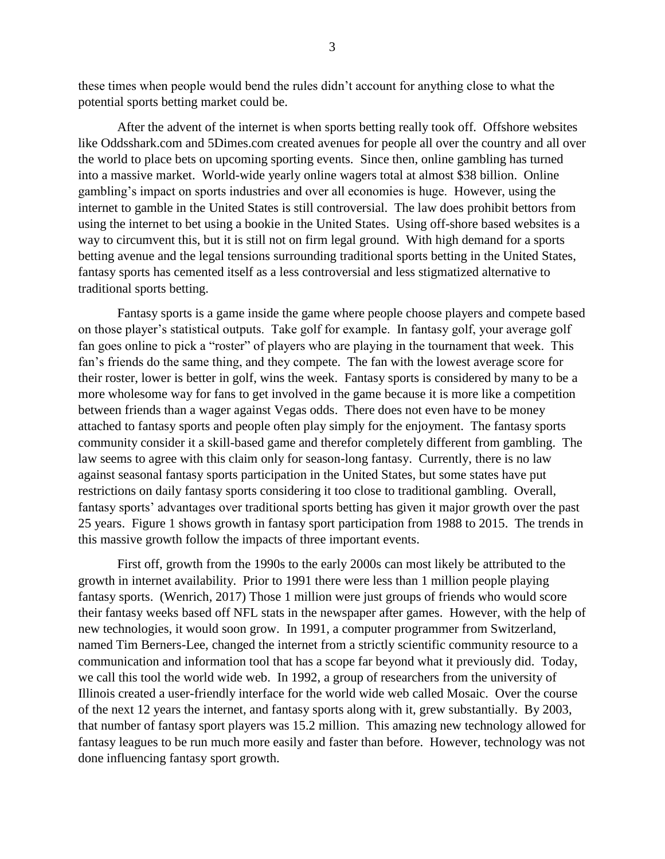these times when people would bend the rules didn't account for anything close to what the potential sports betting market could be.

After the advent of the internet is when sports betting really took off. Offshore websites like Oddsshark.com and 5Dimes.com created avenues for people all over the country and all over the world to place bets on upcoming sporting events. Since then, online gambling has turned into a massive market. World-wide yearly online wagers total at almost \$38 billion. Online gambling's impact on sports industries and over all economies is huge. However, using the internet to gamble in the United States is still controversial. The law does prohibit bettors from using the internet to bet using a bookie in the United States. Using off-shore based websites is a way to circumvent this, but it is still not on firm legal ground. With high demand for a sports betting avenue and the legal tensions surrounding traditional sports betting in the United States, fantasy sports has cemented itself as a less controversial and less stigmatized alternative to traditional sports betting.

Fantasy sports is a game inside the game where people choose players and compete based on those player's statistical outputs. Take golf for example. In fantasy golf, your average golf fan goes online to pick a "roster" of players who are playing in the tournament that week. This fan's friends do the same thing, and they compete. The fan with the lowest average score for their roster, lower is better in golf, wins the week. Fantasy sports is considered by many to be a more wholesome way for fans to get involved in the game because it is more like a competition between friends than a wager against Vegas odds. There does not even have to be money attached to fantasy sports and people often play simply for the enjoyment. The fantasy sports community consider it a skill-based game and therefor completely different from gambling. The law seems to agree with this claim only for season-long fantasy. Currently, there is no law against seasonal fantasy sports participation in the United States, but some states have put restrictions on daily fantasy sports considering it too close to traditional gambling. Overall, fantasy sports' advantages over traditional sports betting has given it major growth over the past 25 years. Figure 1 shows growth in fantasy sport participation from 1988 to 2015. The trends in this massive growth follow the impacts of three important events.

First off, growth from the 1990s to the early 2000s can most likely be attributed to the growth in internet availability. Prior to 1991 there were less than 1 million people playing fantasy sports. (Wenrich, 2017) Those 1 million were just groups of friends who would score their fantasy weeks based off NFL stats in the newspaper after games. However, with the help of new technologies, it would soon grow. In 1991, a computer programmer from Switzerland, named Tim Berners-Lee, changed the internet from a strictly scientific community resource to a communication and information tool that has a scope far beyond what it previously did. Today, we call this tool the world wide web. In 1992, a group of researchers from the university of Illinois created a user-friendly interface for the world wide web called Mosaic. Over the course of the next 12 years the internet, and fantasy sports along with it, grew substantially. By 2003, that number of fantasy sport players was 15.2 million. This amazing new technology allowed for fantasy leagues to be run much more easily and faster than before. However, technology was not done influencing fantasy sport growth.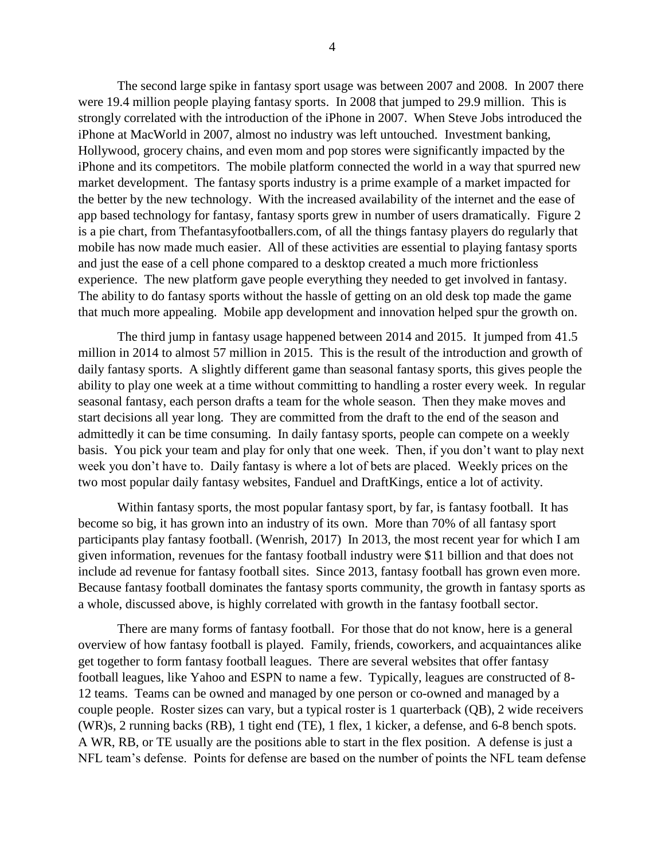The second large spike in fantasy sport usage was between 2007 and 2008. In 2007 there were 19.4 million people playing fantasy sports. In 2008 that jumped to 29.9 million. This is strongly correlated with the introduction of the iPhone in 2007. When Steve Jobs introduced the iPhone at MacWorld in 2007, almost no industry was left untouched. Investment banking, Hollywood, grocery chains, and even mom and pop stores were significantly impacted by the iPhone and its competitors. The mobile platform connected the world in a way that spurred new market development. The fantasy sports industry is a prime example of a market impacted for the better by the new technology. With the increased availability of the internet and the ease of app based technology for fantasy, fantasy sports grew in number of users dramatically. Figure 2 is a pie chart, from Thefantasyfootballers.com, of all the things fantasy players do regularly that mobile has now made much easier. All of these activities are essential to playing fantasy sports and just the ease of a cell phone compared to a desktop created a much more frictionless experience. The new platform gave people everything they needed to get involved in fantasy. The ability to do fantasy sports without the hassle of getting on an old desk top made the game that much more appealing. Mobile app development and innovation helped spur the growth on.

The third jump in fantasy usage happened between 2014 and 2015. It jumped from 41.5 million in 2014 to almost 57 million in 2015. This is the result of the introduction and growth of daily fantasy sports. A slightly different game than seasonal fantasy sports, this gives people the ability to play one week at a time without committing to handling a roster every week. In regular seasonal fantasy, each person drafts a team for the whole season. Then they make moves and start decisions all year long. They are committed from the draft to the end of the season and admittedly it can be time consuming. In daily fantasy sports, people can compete on a weekly basis. You pick your team and play for only that one week. Then, if you don't want to play next week you don't have to. Daily fantasy is where a lot of bets are placed. Weekly prices on the two most popular daily fantasy websites, Fanduel and DraftKings, entice a lot of activity.

Within fantasy sports, the most popular fantasy sport, by far, is fantasy football. It has become so big, it has grown into an industry of its own. More than 70% of all fantasy sport participants play fantasy football. (Wenrish, 2017) In 2013, the most recent year for which I am given information, revenues for the fantasy football industry were \$11 billion and that does not include ad revenue for fantasy football sites. Since 2013, fantasy football has grown even more. Because fantasy football dominates the fantasy sports community, the growth in fantasy sports as a whole, discussed above, is highly correlated with growth in the fantasy football sector.

There are many forms of fantasy football. For those that do not know, here is a general overview of how fantasy football is played. Family, friends, coworkers, and acquaintances alike get together to form fantasy football leagues. There are several websites that offer fantasy football leagues, like Yahoo and ESPN to name a few. Typically, leagues are constructed of 8- 12 teams. Teams can be owned and managed by one person or co-owned and managed by a couple people. Roster sizes can vary, but a typical roster is 1 quarterback (QB), 2 wide receivers (WR)s, 2 running backs (RB), 1 tight end (TE), 1 flex, 1 kicker, a defense, and 6-8 bench spots. A WR, RB, or TE usually are the positions able to start in the flex position. A defense is just a NFL team's defense. Points for defense are based on the number of points the NFL team defense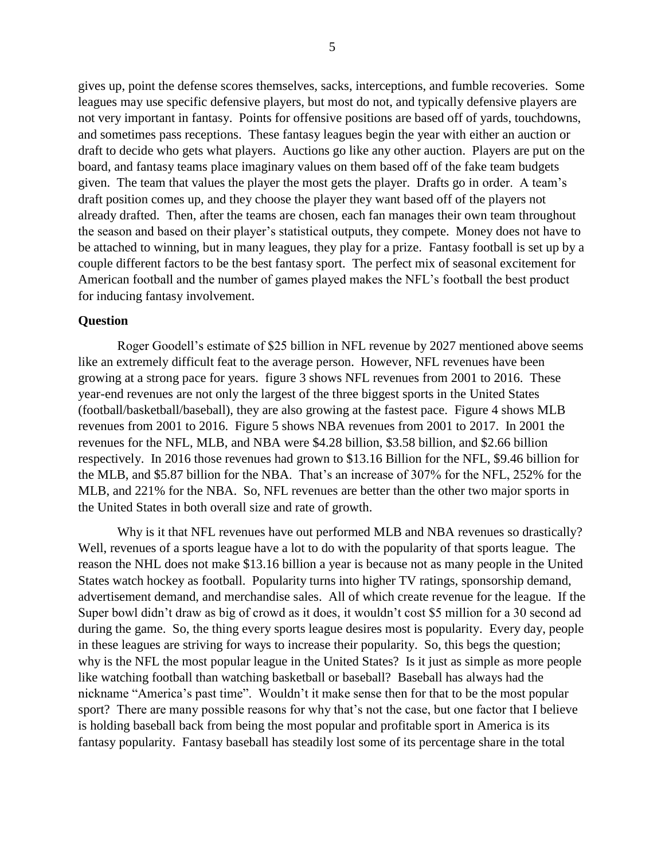gives up, point the defense scores themselves, sacks, interceptions, and fumble recoveries. Some leagues may use specific defensive players, but most do not, and typically defensive players are not very important in fantasy. Points for offensive positions are based off of yards, touchdowns, and sometimes pass receptions. These fantasy leagues begin the year with either an auction or draft to decide who gets what players. Auctions go like any other auction. Players are put on the board, and fantasy teams place imaginary values on them based off of the fake team budgets given. The team that values the player the most gets the player. Drafts go in order. A team's draft position comes up, and they choose the player they want based off of the players not already drafted. Then, after the teams are chosen, each fan manages their own team throughout the season and based on their player's statistical outputs, they compete. Money does not have to be attached to winning, but in many leagues, they play for a prize. Fantasy football is set up by a couple different factors to be the best fantasy sport. The perfect mix of seasonal excitement for American football and the number of games played makes the NFL's football the best product for inducing fantasy involvement.

### **Question**

Roger Goodell's estimate of \$25 billion in NFL revenue by 2027 mentioned above seems like an extremely difficult feat to the average person. However, NFL revenues have been growing at a strong pace for years. figure 3 shows NFL revenues from 2001 to 2016. These year-end revenues are not only the largest of the three biggest sports in the United States (football/basketball/baseball), they are also growing at the fastest pace. Figure 4 shows MLB revenues from 2001 to 2016. Figure 5 shows NBA revenues from 2001 to 2017. In 2001 the revenues for the NFL, MLB, and NBA were \$4.28 billion, \$3.58 billion, and \$2.66 billion respectively. In 2016 those revenues had grown to \$13.16 Billion for the NFL, \$9.46 billion for the MLB, and \$5.87 billion for the NBA. That's an increase of 307% for the NFL, 252% for the MLB, and 221% for the NBA. So, NFL revenues are better than the other two major sports in the United States in both overall size and rate of growth.

Why is it that NFL revenues have out performed MLB and NBA revenues so drastically? Well, revenues of a sports league have a lot to do with the popularity of that sports league. The reason the NHL does not make \$13.16 billion a year is because not as many people in the United States watch hockey as football. Popularity turns into higher TV ratings, sponsorship demand, advertisement demand, and merchandise sales. All of which create revenue for the league. If the Super bowl didn't draw as big of crowd as it does, it wouldn't cost \$5 million for a 30 second ad during the game. So, the thing every sports league desires most is popularity. Every day, people in these leagues are striving for ways to increase their popularity. So, this begs the question; why is the NFL the most popular league in the United States? Is it just as simple as more people like watching football than watching basketball or baseball? Baseball has always had the nickname "America's past time". Wouldn't it make sense then for that to be the most popular sport? There are many possible reasons for why that's not the case, but one factor that I believe is holding baseball back from being the most popular and profitable sport in America is its fantasy popularity. Fantasy baseball has steadily lost some of its percentage share in the total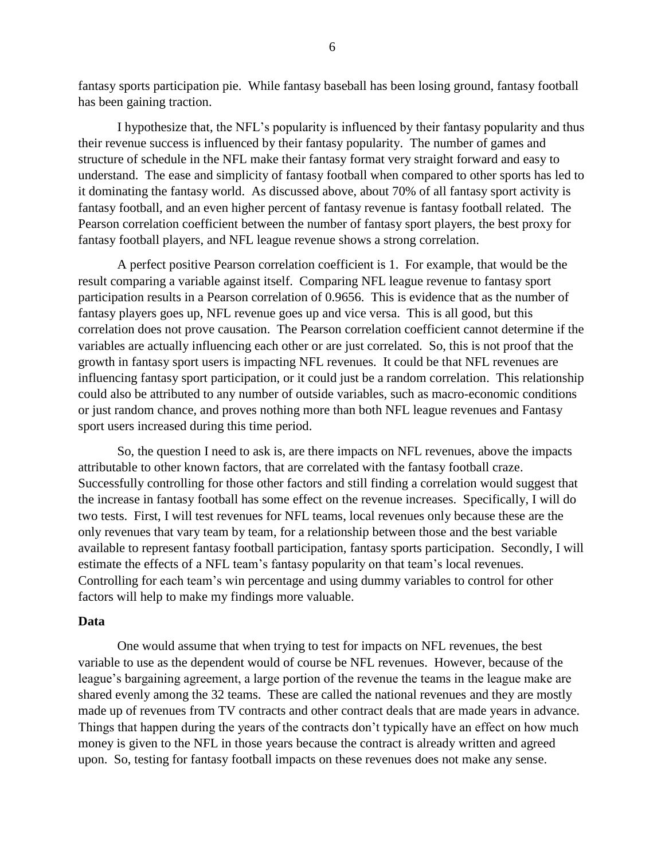fantasy sports participation pie. While fantasy baseball has been losing ground, fantasy football has been gaining traction.

I hypothesize that, the NFL's popularity is influenced by their fantasy popularity and thus their revenue success is influenced by their fantasy popularity. The number of games and structure of schedule in the NFL make their fantasy format very straight forward and easy to understand. The ease and simplicity of fantasy football when compared to other sports has led to it dominating the fantasy world. As discussed above, about 70% of all fantasy sport activity is fantasy football, and an even higher percent of fantasy revenue is fantasy football related. The Pearson correlation coefficient between the number of fantasy sport players, the best proxy for fantasy football players, and NFL league revenue shows a strong correlation.

A perfect positive Pearson correlation coefficient is 1. For example, that would be the result comparing a variable against itself. Comparing NFL league revenue to fantasy sport participation results in a Pearson correlation of 0.9656. This is evidence that as the number of fantasy players goes up, NFL revenue goes up and vice versa. This is all good, but this correlation does not prove causation. The Pearson correlation coefficient cannot determine if the variables are actually influencing each other or are just correlated. So, this is not proof that the growth in fantasy sport users is impacting NFL revenues. It could be that NFL revenues are influencing fantasy sport participation, or it could just be a random correlation. This relationship could also be attributed to any number of outside variables, such as macro-economic conditions or just random chance, and proves nothing more than both NFL league revenues and Fantasy sport users increased during this time period.

So, the question I need to ask is, are there impacts on NFL revenues, above the impacts attributable to other known factors, that are correlated with the fantasy football craze. Successfully controlling for those other factors and still finding a correlation would suggest that the increase in fantasy football has some effect on the revenue increases. Specifically, I will do two tests. First, I will test revenues for NFL teams, local revenues only because these are the only revenues that vary team by team, for a relationship between those and the best variable available to represent fantasy football participation, fantasy sports participation. Secondly, I will estimate the effects of a NFL team's fantasy popularity on that team's local revenues. Controlling for each team's win percentage and using dummy variables to control for other factors will help to make my findings more valuable.

#### **Data**

One would assume that when trying to test for impacts on NFL revenues, the best variable to use as the dependent would of course be NFL revenues. However, because of the league's bargaining agreement, a large portion of the revenue the teams in the league make are shared evenly among the 32 teams. These are called the national revenues and they are mostly made up of revenues from TV contracts and other contract deals that are made years in advance. Things that happen during the years of the contracts don't typically have an effect on how much money is given to the NFL in those years because the contract is already written and agreed upon. So, testing for fantasy football impacts on these revenues does not make any sense.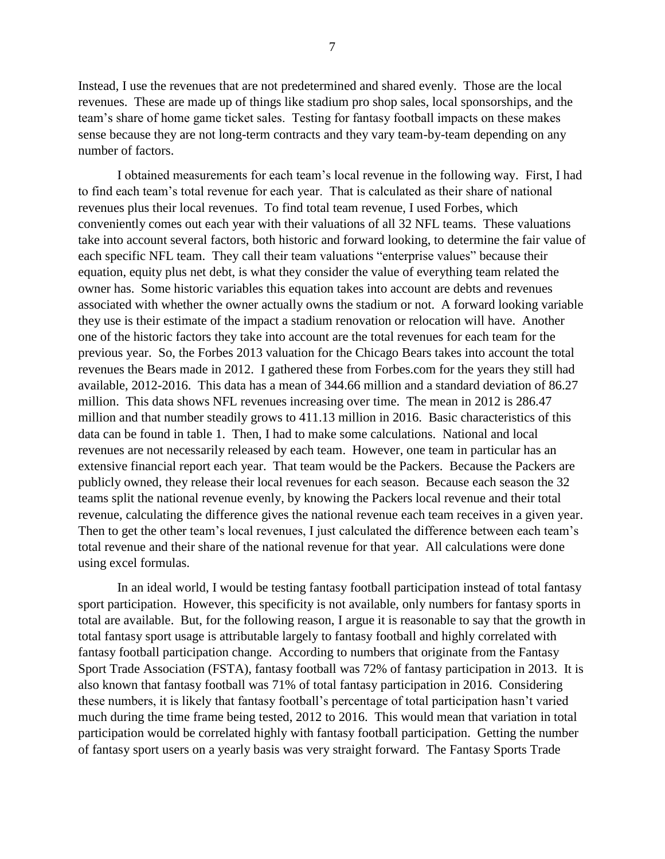Instead, I use the revenues that are not predetermined and shared evenly. Those are the local revenues. These are made up of things like stadium pro shop sales, local sponsorships, and the team's share of home game ticket sales. Testing for fantasy football impacts on these makes sense because they are not long-term contracts and they vary team-by-team depending on any number of factors.

I obtained measurements for each team's local revenue in the following way. First, I had to find each team's total revenue for each year. That is calculated as their share of national revenues plus their local revenues. To find total team revenue, I used Forbes, which conveniently comes out each year with their valuations of all 32 NFL teams. These valuations take into account several factors, both historic and forward looking, to determine the fair value of each specific NFL team. They call their team valuations "enterprise values" because their equation, equity plus net debt, is what they consider the value of everything team related the owner has. Some historic variables this equation takes into account are debts and revenues associated with whether the owner actually owns the stadium or not. A forward looking variable they use is their estimate of the impact a stadium renovation or relocation will have. Another one of the historic factors they take into account are the total revenues for each team for the previous year. So, the Forbes 2013 valuation for the Chicago Bears takes into account the total revenues the Bears made in 2012. I gathered these from Forbes.com for the years they still had available, 2012-2016. This data has a mean of 344.66 million and a standard deviation of 86.27 million. This data shows NFL revenues increasing over time. The mean in 2012 is 286.47 million and that number steadily grows to 411.13 million in 2016. Basic characteristics of this data can be found in table 1. Then, I had to make some calculations. National and local revenues are not necessarily released by each team. However, one team in particular has an extensive financial report each year. That team would be the Packers. Because the Packers are publicly owned, they release their local revenues for each season. Because each season the 32 teams split the national revenue evenly, by knowing the Packers local revenue and their total revenue, calculating the difference gives the national revenue each team receives in a given year. Then to get the other team's local revenues, I just calculated the difference between each team's total revenue and their share of the national revenue for that year. All calculations were done using excel formulas.

In an ideal world, I would be testing fantasy football participation instead of total fantasy sport participation. However, this specificity is not available, only numbers for fantasy sports in total are available. But, for the following reason, I argue it is reasonable to say that the growth in total fantasy sport usage is attributable largely to fantasy football and highly correlated with fantasy football participation change. According to numbers that originate from the Fantasy Sport Trade Association (FSTA), fantasy football was 72% of fantasy participation in 2013. It is also known that fantasy football was 71% of total fantasy participation in 2016. Considering these numbers, it is likely that fantasy football's percentage of total participation hasn't varied much during the time frame being tested, 2012 to 2016. This would mean that variation in total participation would be correlated highly with fantasy football participation. Getting the number of fantasy sport users on a yearly basis was very straight forward. The Fantasy Sports Trade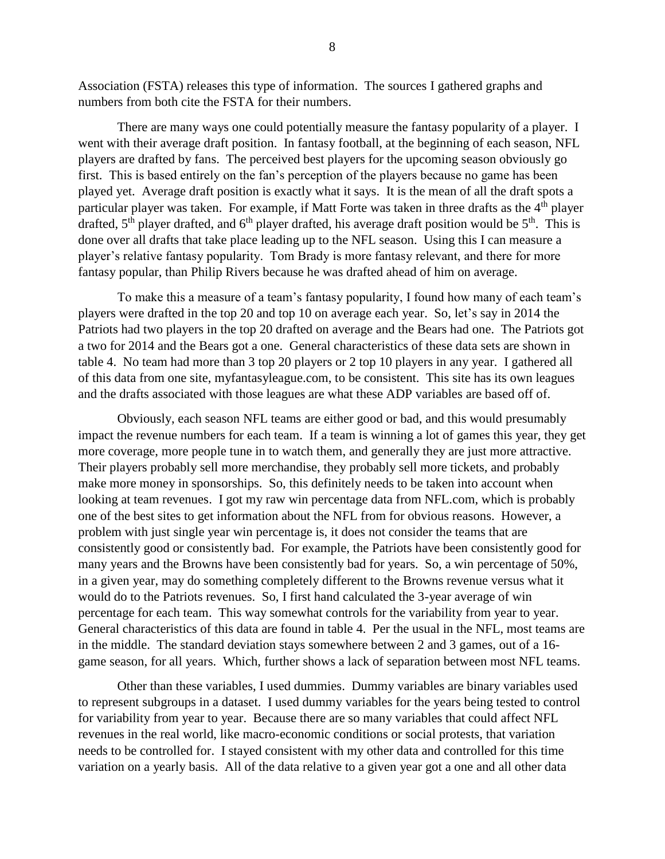Association (FSTA) releases this type of information. The sources I gathered graphs and numbers from both cite the FSTA for their numbers.

There are many ways one could potentially measure the fantasy popularity of a player. I went with their average draft position. In fantasy football, at the beginning of each season, NFL players are drafted by fans. The perceived best players for the upcoming season obviously go first. This is based entirely on the fan's perception of the players because no game has been played yet. Average draft position is exactly what it says. It is the mean of all the draft spots a particular player was taken. For example, if Matt Forte was taken in three drafts as the 4<sup>th</sup> player drafted,  $5<sup>th</sup>$  player drafted, and  $6<sup>th</sup>$  player drafted, his average draft position would be  $5<sup>th</sup>$ . This is done over all drafts that take place leading up to the NFL season. Using this I can measure a player's relative fantasy popularity. Tom Brady is more fantasy relevant, and there for more fantasy popular, than Philip Rivers because he was drafted ahead of him on average.

To make this a measure of a team's fantasy popularity, I found how many of each team's players were drafted in the top 20 and top 10 on average each year. So, let's say in 2014 the Patriots had two players in the top 20 drafted on average and the Bears had one. The Patriots got a two for 2014 and the Bears got a one. General characteristics of these data sets are shown in table 4. No team had more than 3 top 20 players or 2 top 10 players in any year. I gathered all of this data from one site, myfantasyleague.com, to be consistent. This site has its own leagues and the drafts associated with those leagues are what these ADP variables are based off of.

Obviously, each season NFL teams are either good or bad, and this would presumably impact the revenue numbers for each team. If a team is winning a lot of games this year, they get more coverage, more people tune in to watch them, and generally they are just more attractive. Their players probably sell more merchandise, they probably sell more tickets, and probably make more money in sponsorships. So, this definitely needs to be taken into account when looking at team revenues. I got my raw win percentage data from NFL.com, which is probably one of the best sites to get information about the NFL from for obvious reasons. However, a problem with just single year win percentage is, it does not consider the teams that are consistently good or consistently bad. For example, the Patriots have been consistently good for many years and the Browns have been consistently bad for years. So, a win percentage of 50%, in a given year, may do something completely different to the Browns revenue versus what it would do to the Patriots revenues. So, I first hand calculated the 3-year average of win percentage for each team. This way somewhat controls for the variability from year to year. General characteristics of this data are found in table 4. Per the usual in the NFL, most teams are in the middle. The standard deviation stays somewhere between 2 and 3 games, out of a 16 game season, for all years. Which, further shows a lack of separation between most NFL teams.

Other than these variables, I used dummies. Dummy variables are binary variables used to represent subgroups in a dataset. I used dummy variables for the years being tested to control for variability from year to year. Because there are so many variables that could affect NFL revenues in the real world, like macro-economic conditions or social protests, that variation needs to be controlled for. I stayed consistent with my other data and controlled for this time variation on a yearly basis. All of the data relative to a given year got a one and all other data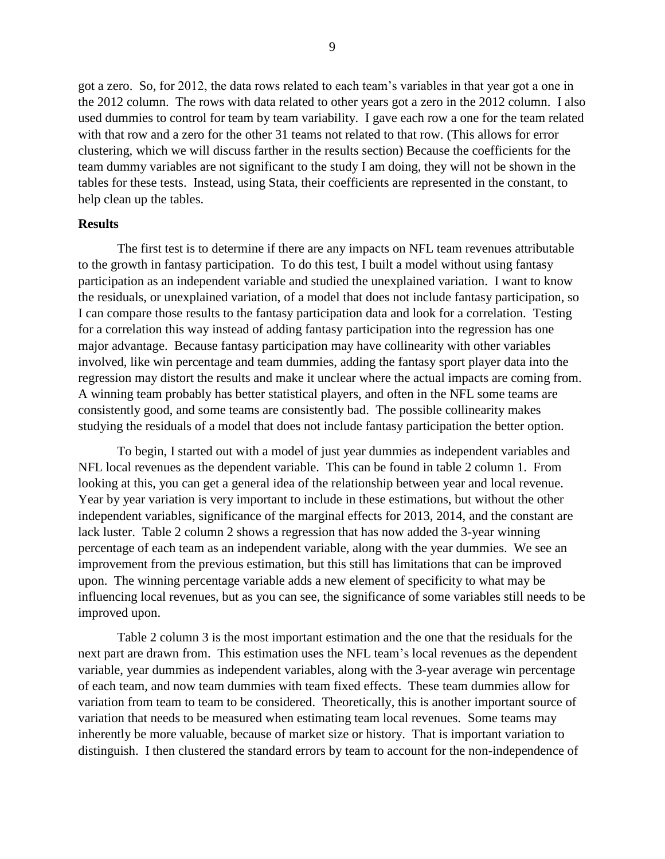got a zero. So, for 2012, the data rows related to each team's variables in that year got a one in the 2012 column. The rows with data related to other years got a zero in the 2012 column. I also used dummies to control for team by team variability. I gave each row a one for the team related with that row and a zero for the other 31 teams not related to that row. (This allows for error clustering, which we will discuss farther in the results section) Because the coefficients for the team dummy variables are not significant to the study I am doing, they will not be shown in the tables for these tests. Instead, using Stata, their coefficients are represented in the constant, to help clean up the tables.

### **Results**

The first test is to determine if there are any impacts on NFL team revenues attributable to the growth in fantasy participation. To do this test, I built a model without using fantasy participation as an independent variable and studied the unexplained variation. I want to know the residuals, or unexplained variation, of a model that does not include fantasy participation, so I can compare those results to the fantasy participation data and look for a correlation. Testing for a correlation this way instead of adding fantasy participation into the regression has one major advantage. Because fantasy participation may have collinearity with other variables involved, like win percentage and team dummies, adding the fantasy sport player data into the regression may distort the results and make it unclear where the actual impacts are coming from. A winning team probably has better statistical players, and often in the NFL some teams are consistently good, and some teams are consistently bad. The possible collinearity makes studying the residuals of a model that does not include fantasy participation the better option.

To begin, I started out with a model of just year dummies as independent variables and NFL local revenues as the dependent variable. This can be found in table 2 column 1. From looking at this, you can get a general idea of the relationship between year and local revenue. Year by year variation is very important to include in these estimations, but without the other independent variables, significance of the marginal effects for 2013, 2014, and the constant are lack luster. Table 2 column 2 shows a regression that has now added the 3-year winning percentage of each team as an independent variable, along with the year dummies. We see an improvement from the previous estimation, but this still has limitations that can be improved upon. The winning percentage variable adds a new element of specificity to what may be influencing local revenues, but as you can see, the significance of some variables still needs to be improved upon.

Table 2 column 3 is the most important estimation and the one that the residuals for the next part are drawn from. This estimation uses the NFL team's local revenues as the dependent variable, year dummies as independent variables, along with the 3-year average win percentage of each team, and now team dummies with team fixed effects. These team dummies allow for variation from team to team to be considered. Theoretically, this is another important source of variation that needs to be measured when estimating team local revenues. Some teams may inherently be more valuable, because of market size or history. That is important variation to distinguish. I then clustered the standard errors by team to account for the non-independence of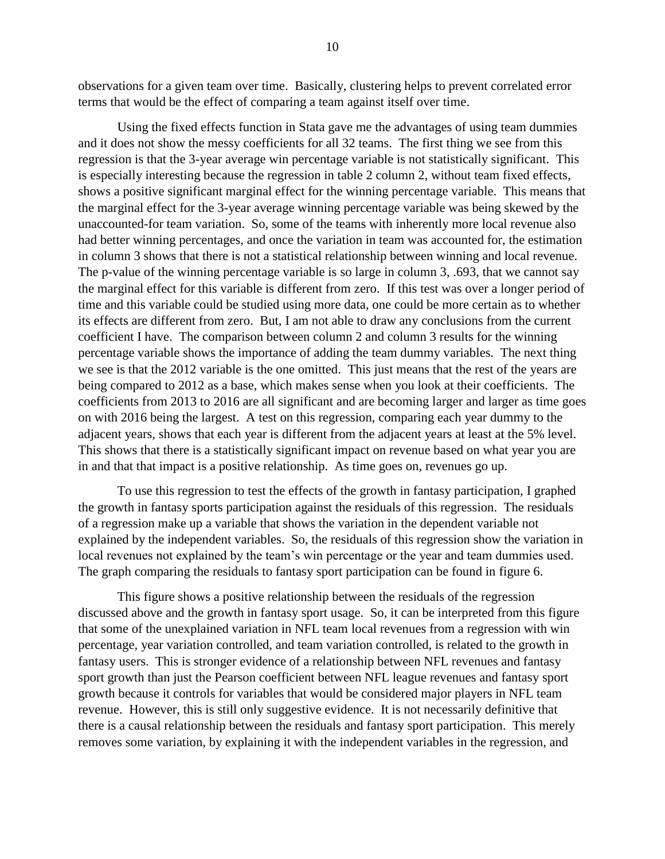observations for a given team over time. Basically, clustering helps to prevent correlated error terms that would be the effect of comparing a team against itself over time.

Using the fixed effects function in Stata gave me the advantages of using team dummies and it does not show the messy coefficients for all 32 teams. The first thing we see from this regression is that the 3-year average win percentage variable is not statistically significant. This is especially interesting because the regression in table 2 column 2, without team fixed effects, shows a positive significant marginal effect for the winning percentage variable. This means that the marginal effect for the 3-year average winning percentage variable was being skewed by the unaccounted-for team variation. So, some of the teams with inherently more local revenue also had better winning percentages, and once the variation in team was accounted for, the estimation in column 3 shows that there is not a statistical relationship between winning and local revenue. The p-value of the winning percentage variable is so large in column 3, .693, that we cannot say the marginal effect for this variable is different from zero. If this test was over a longer period of time and this variable could be studied using more data, one could be more certain as to whether its effects are different from zero. But, I am not able to draw any conclusions from the current coefficient I have. The comparison between column 2 and column 3 results for the winning percentage variable shows the importance of adding the team dummy variables. The next thing we see is that the 2012 variable is the one omitted. This just means that the rest of the years are being compared to 2012 as a base, which makes sense when you look at their coefficients. The coefficients from 2013 to 2016 are all significant and are becoming larger and larger as time goes on with 2016 being the largest. A test on this regression, comparing each year dummy to the adjacent years, shows that each year is different from the adjacent years at least at the 5% level. This shows that there is a statistically significant impact on revenue based on what year you are in and that that impact is a positive relationship. As time goes on, revenues go up.

To use this regression to test the effects of the growth in fantasy participation, I graphed the growth in fantasy sports participation against the residuals of this regression. The residuals of a regression make up a variable that shows the variation in the dependent variable not explained by the independent variables. So, the residuals of this regression show the variation in local revenues not explained by the team's win percentage or the year and team dummies used. The graph comparing the residuals to fantasy sport participation can be found in figure 6.

This figure shows a positive relationship between the residuals of the regression discussed above and the growth in fantasy sport usage. So, it can be interpreted from this figure that some of the unexplained variation in NFL team local revenues from a regression with win percentage, year variation controlled, and team variation controlled, is related to the growth in fantasy users. This is stronger evidence of a relationship between NFL revenues and fantasy sport growth than just the Pearson coefficient between NFL league revenues and fantasy sport growth because it controls for variables that would be considered major players in NFL team revenue. However, this is still only suggestive evidence. It is not necessarily definitive that there is a causal relationship between the residuals and fantasy sport participation. This merely removes some variation, by explaining it with the independent variables in the regression, and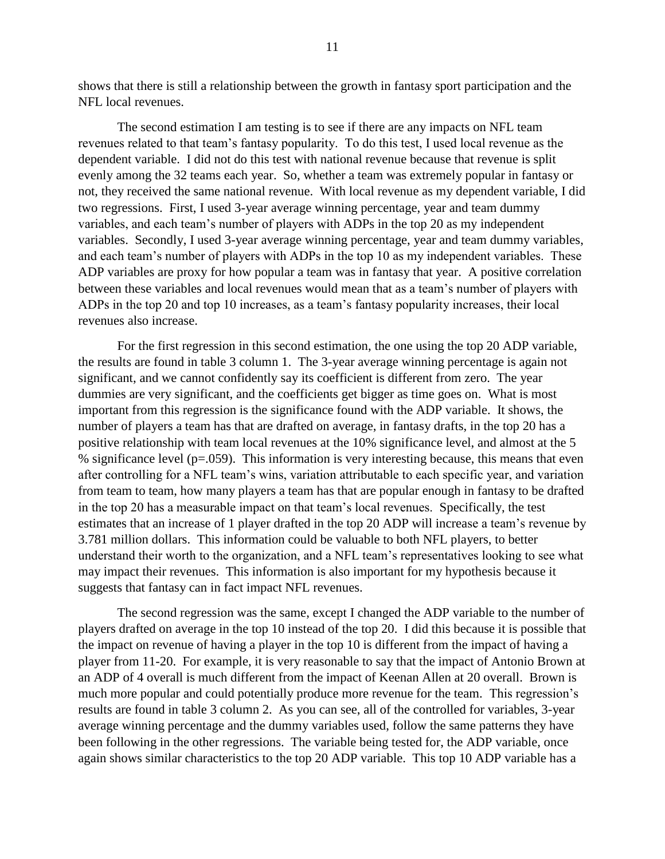shows that there is still a relationship between the growth in fantasy sport participation and the NFL local revenues.

The second estimation I am testing is to see if there are any impacts on NFL team revenues related to that team's fantasy popularity. To do this test, I used local revenue as the dependent variable. I did not do this test with national revenue because that revenue is split evenly among the 32 teams each year. So, whether a team was extremely popular in fantasy or not, they received the same national revenue. With local revenue as my dependent variable, I did two regressions. First, I used 3-year average winning percentage, year and team dummy variables, and each team's number of players with ADPs in the top 20 as my independent variables. Secondly, I used 3-year average winning percentage, year and team dummy variables, and each team's number of players with ADPs in the top 10 as my independent variables. These ADP variables are proxy for how popular a team was in fantasy that year. A positive correlation between these variables and local revenues would mean that as a team's number of players with ADPs in the top 20 and top 10 increases, as a team's fantasy popularity increases, their local revenues also increase.

For the first regression in this second estimation, the one using the top 20 ADP variable, the results are found in table 3 column 1. The 3-year average winning percentage is again not significant, and we cannot confidently say its coefficient is different from zero. The year dummies are very significant, and the coefficients get bigger as time goes on. What is most important from this regression is the significance found with the ADP variable. It shows, the number of players a team has that are drafted on average, in fantasy drafts, in the top 20 has a positive relationship with team local revenues at the 10% significance level, and almost at the 5 % significance level ( $p=0.059$ ). This information is very interesting because, this means that even after controlling for a NFL team's wins, variation attributable to each specific year, and variation from team to team, how many players a team has that are popular enough in fantasy to be drafted in the top 20 has a measurable impact on that team's local revenues. Specifically, the test estimates that an increase of 1 player drafted in the top 20 ADP will increase a team's revenue by 3.781 million dollars. This information could be valuable to both NFL players, to better understand their worth to the organization, and a NFL team's representatives looking to see what may impact their revenues. This information is also important for my hypothesis because it suggests that fantasy can in fact impact NFL revenues.

The second regression was the same, except I changed the ADP variable to the number of players drafted on average in the top 10 instead of the top 20. I did this because it is possible that the impact on revenue of having a player in the top 10 is different from the impact of having a player from 11-20. For example, it is very reasonable to say that the impact of Antonio Brown at an ADP of 4 overall is much different from the impact of Keenan Allen at 20 overall. Brown is much more popular and could potentially produce more revenue for the team. This regression's results are found in table 3 column 2. As you can see, all of the controlled for variables, 3-year average winning percentage and the dummy variables used, follow the same patterns they have been following in the other regressions. The variable being tested for, the ADP variable, once again shows similar characteristics to the top 20 ADP variable. This top 10 ADP variable has a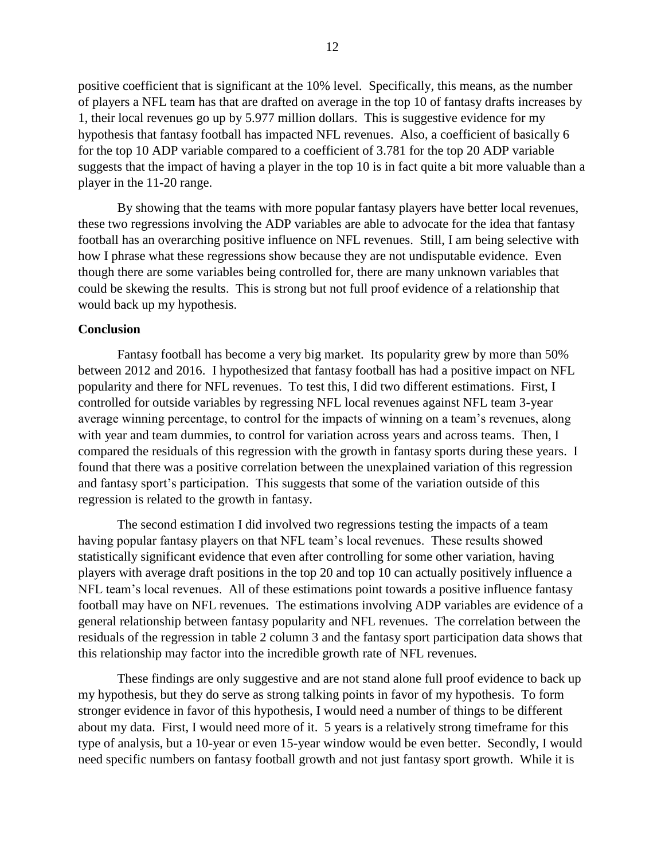positive coefficient that is significant at the 10% level. Specifically, this means, as the number of players a NFL team has that are drafted on average in the top 10 of fantasy drafts increases by 1, their local revenues go up by 5.977 million dollars. This is suggestive evidence for my hypothesis that fantasy football has impacted NFL revenues. Also, a coefficient of basically 6 for the top 10 ADP variable compared to a coefficient of 3.781 for the top 20 ADP variable suggests that the impact of having a player in the top 10 is in fact quite a bit more valuable than a player in the 11-20 range.

By showing that the teams with more popular fantasy players have better local revenues, these two regressions involving the ADP variables are able to advocate for the idea that fantasy football has an overarching positive influence on NFL revenues. Still, I am being selective with how I phrase what these regressions show because they are not undisputable evidence. Even though there are some variables being controlled for, there are many unknown variables that could be skewing the results. This is strong but not full proof evidence of a relationship that would back up my hypothesis.

# **Conclusion**

Fantasy football has become a very big market. Its popularity grew by more than 50% between 2012 and 2016. I hypothesized that fantasy football has had a positive impact on NFL popularity and there for NFL revenues. To test this, I did two different estimations. First, I controlled for outside variables by regressing NFL local revenues against NFL team 3-year average winning percentage, to control for the impacts of winning on a team's revenues, along with year and team dummies, to control for variation across years and across teams. Then, I compared the residuals of this regression with the growth in fantasy sports during these years. I found that there was a positive correlation between the unexplained variation of this regression and fantasy sport's participation. This suggests that some of the variation outside of this regression is related to the growth in fantasy.

The second estimation I did involved two regressions testing the impacts of a team having popular fantasy players on that NFL team's local revenues. These results showed statistically significant evidence that even after controlling for some other variation, having players with average draft positions in the top 20 and top 10 can actually positively influence a NFL team's local revenues. All of these estimations point towards a positive influence fantasy football may have on NFL revenues. The estimations involving ADP variables are evidence of a general relationship between fantasy popularity and NFL revenues. The correlation between the residuals of the regression in table 2 column 3 and the fantasy sport participation data shows that this relationship may factor into the incredible growth rate of NFL revenues.

These findings are only suggestive and are not stand alone full proof evidence to back up my hypothesis, but they do serve as strong talking points in favor of my hypothesis. To form stronger evidence in favor of this hypothesis, I would need a number of things to be different about my data. First, I would need more of it. 5 years is a relatively strong timeframe for this type of analysis, but a 10-year or even 15-year window would be even better. Secondly, I would need specific numbers on fantasy football growth and not just fantasy sport growth. While it is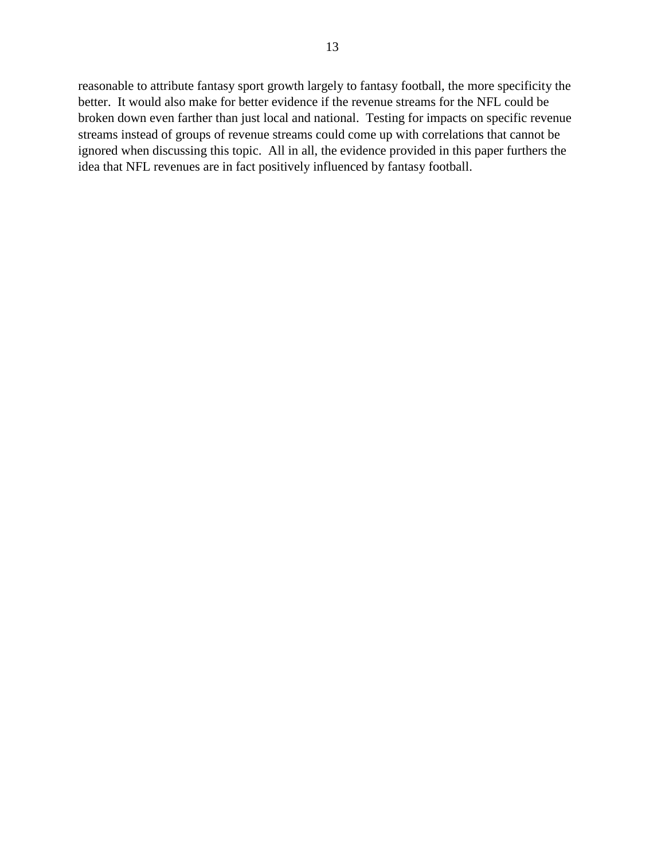reasonable to attribute fantasy sport growth largely to fantasy football, the more specificity the better. It would also make for better evidence if the revenue streams for the NFL could be broken down even farther than just local and national. Testing for impacts on specific revenue streams instead of groups of revenue streams could come up with correlations that cannot be ignored when discussing this topic. All in all, the evidence provided in this paper furthers the idea that NFL revenues are in fact positively influenced by fantasy football.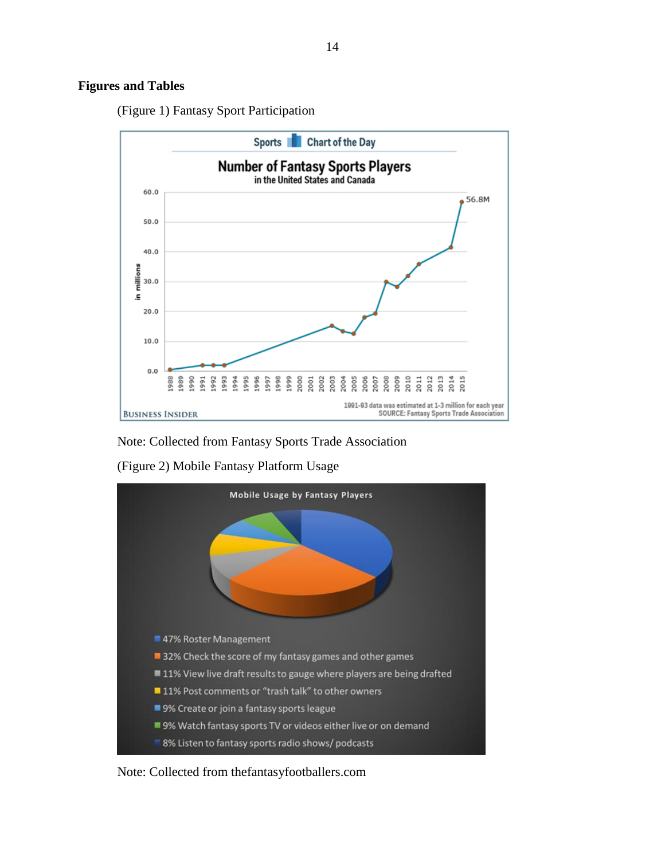# **Figures and Tables**

(Figure 1) Fantasy Sport Participation



Note: Collected from Fantasy Sports Trade Association

(Figure 2) Mobile Fantasy Platform Usage



Note: Collected from thefantasyfootballers.com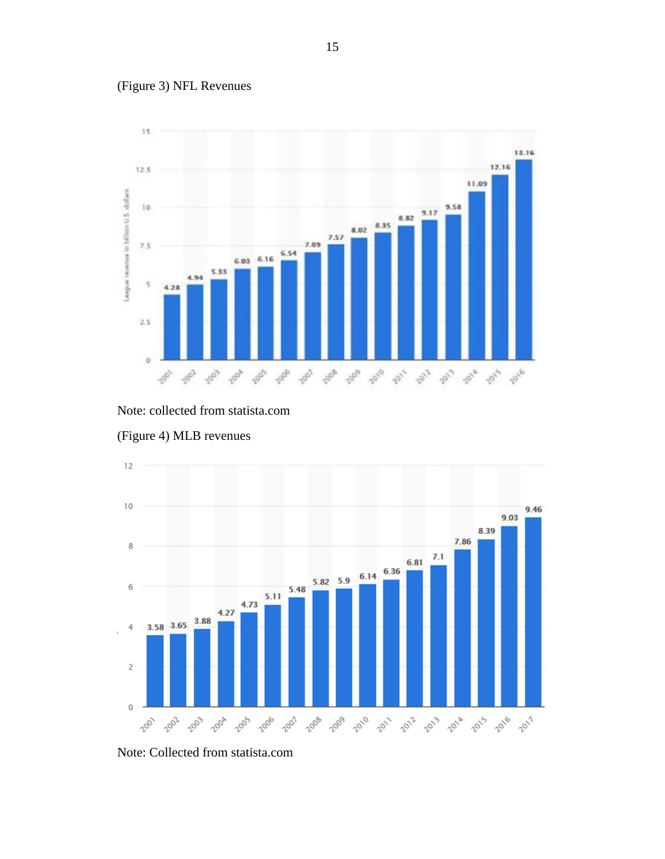









Note: Collected from statista.com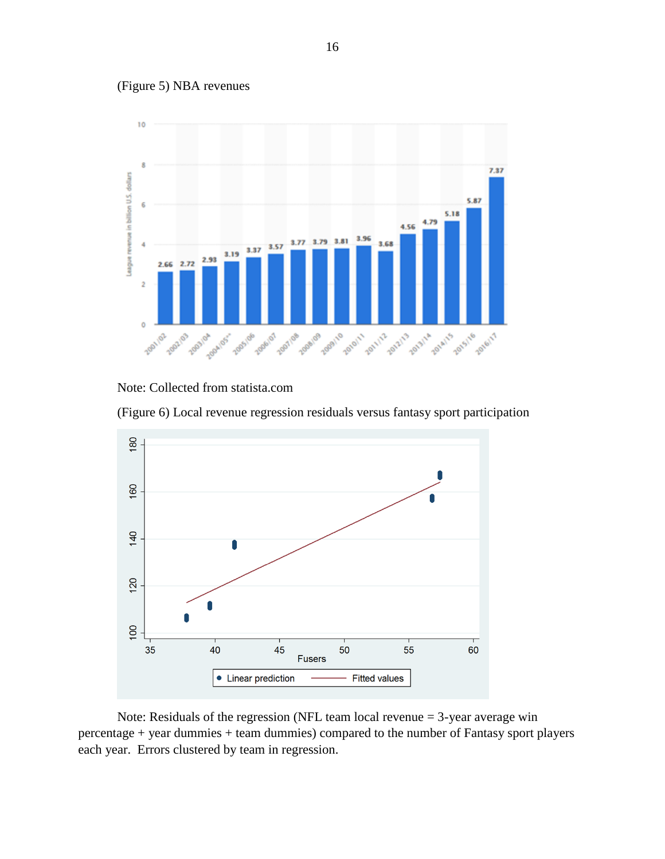

(Figure 5) NBA revenues



(Figure 6) Local revenue regression residuals versus fantasy sport participation



Note: Residuals of the regression (NFL team local revenue = 3-year average win percentage + year dummies + team dummies) compared to the number of Fantasy sport players each year. Errors clustered by team in regression.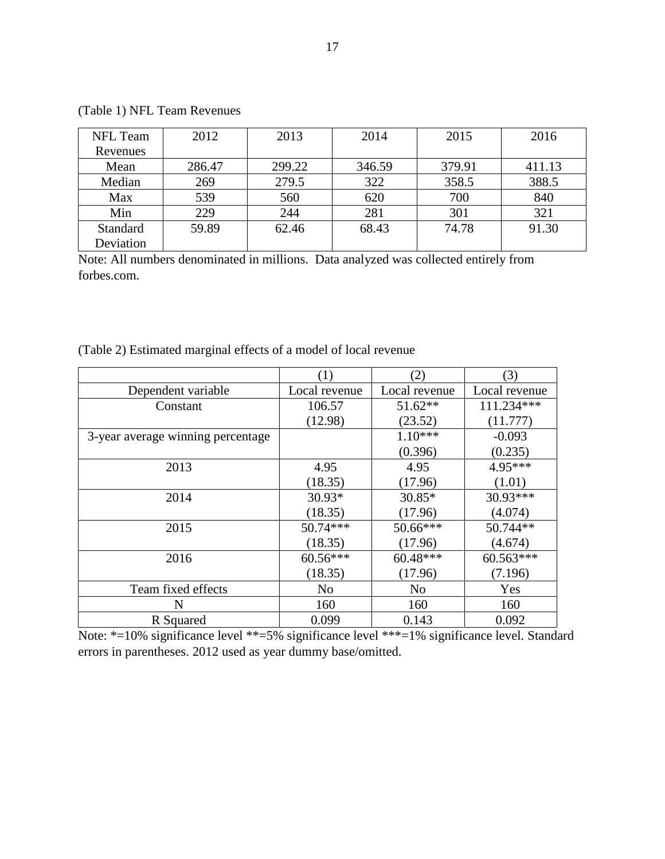| <b>NFL</b> Team | 2012   | 2013   | 2014   | 2015   | 2016   |
|-----------------|--------|--------|--------|--------|--------|
| Revenues        |        |        |        |        |        |
| Mean            | 286.47 | 299.22 | 346.59 | 379.91 | 411.13 |
| Median          | 269    | 279.5  | 322    | 358.5  | 388.5  |
| Max             | 539    | 560    | 620    | 700    | 840    |
| Min             | 229    | 244    | 281    | 301    | 321    |
| Standard        | 59.89  | 62.46  | 68.43  | 74.78  | 91.30  |
| Deviation       |        |        |        |        |        |

(Table 1) NFL Team Revenues

Note: All numbers denominated in millions. Data analyzed was collected entirely from forbes.com.

|                                   | (1)           | (2)            | (3)           |  |
|-----------------------------------|---------------|----------------|---------------|--|
| Dependent variable                | Local revenue | Local revenue  | Local revenue |  |
| Constant                          | 106.57        | $51.62**$      | 111.234***    |  |
|                                   | (12.98)       | (23.52)        | (11.777)      |  |
| 3-year average winning percentage |               | $1.10***$      | $-0.093$      |  |
|                                   |               | (0.396)        | (0.235)       |  |
| 2013                              | 4.95          | 4.95           | 4.95***       |  |
|                                   | (18.35)       | (17.96)        | (1.01)        |  |
| 2014                              | $30.93*$      | $30.85*$       | 30.93***      |  |
|                                   | (18.35)       | (17.96)        | (4.074)       |  |
| 2015                              | 50.74***      | 50.66***       | 50.744**      |  |
|                                   | (18.35)       | (17.96)        | (4.674)       |  |
| 2016                              | $60.56***$    | 60.48***       | $60.563***$   |  |
|                                   | (18.35)       | (17.96)        | (7.196)       |  |
| Team fixed effects                | No            | N <sub>o</sub> | Yes           |  |
| N                                 | 160           | 160            | 160           |  |
| R Squared                         | 0.099         | 0.143          | 0.092         |  |

Note: \*=10% significance level \*\*=5% significance level \*\*\*=1% significance level. Standard errors in parentheses. 2012 used as year dummy base/omitted.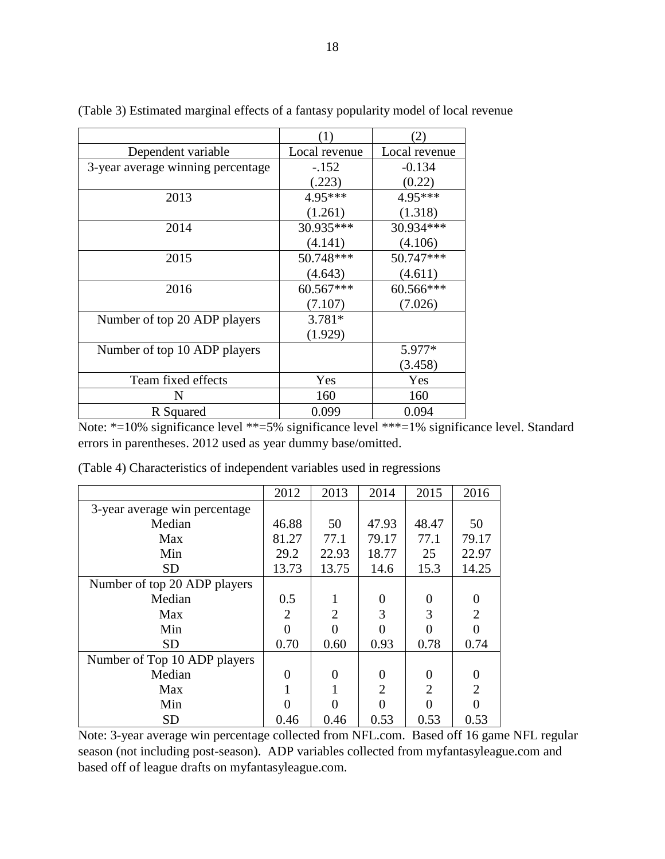|                                   | (1)           | 2)            |  |
|-----------------------------------|---------------|---------------|--|
| Dependent variable                | Local revenue | Local revenue |  |
| 3-year average winning percentage | $-.152$       | $-0.134$      |  |
|                                   | (.223)        | (0.22)        |  |
| 2013                              | 4.95***       | 4.95***       |  |
|                                   | (1.261)       | (1.318)       |  |
| 2014                              | 30.935***     | 30.934***     |  |
|                                   | (4.141)       | (4.106)       |  |
| 2015                              | 50.748***     | 50.747***     |  |
|                                   | (4.643)       | (4.611)       |  |
| 2016                              | 60.567***     | 60.566***     |  |
|                                   | (7.107)       | (7.026)       |  |
| Number of top 20 ADP players      | $3.781*$      |               |  |
|                                   | (1.929)       |               |  |
| Number of top 10 ADP players      |               | 5.977*        |  |
|                                   |               | (3.458)       |  |
| Team fixed effects                | Yes           | Yes           |  |
| N                                 | 160           | 160           |  |
| R Squared                         | 0.099         | 0.094         |  |

(Table 3) Estimated marginal effects of a fantasy popularity model of local revenue

Note: \*=10% significance level \*\*=5% significance level \*\*\*=1% significance level. Standard errors in parentheses. 2012 used as year dummy base/omitted.

|                               | 2012  | 2013           | 2014           | 2015  | 2016             |
|-------------------------------|-------|----------------|----------------|-------|------------------|
| 3-year average win percentage |       |                |                |       |                  |
| Median                        | 46.88 | 50             | 47.93          | 48.47 | 50               |
| Max                           | 81.27 | 77.1           | 79.17          | 77.1  | 79.17            |
| Min                           | 29.2  | 22.93          | 18.77          | 25    | 22.97            |
| <b>SD</b>                     | 13.73 | 13.75          | 14.6           | 15.3  | 14.25            |
| Number of top 20 ADP players  |       |                |                |       |                  |
| Median                        | 0.5   |                | 0              | 0     | $\theta$         |
| Max                           | 2     | $\mathfrak{D}$ | 3              | 3     | $\overline{2}$   |
| Min                           |       |                |                |       |                  |
| <b>SD</b>                     | 0.70  | 0.60           | 0.93           | 0.78  | 0.74             |
| Number of Top 10 ADP players  |       |                |                |       |                  |
| Median                        | 0     | 0              |                | 0     | $\boldsymbol{0}$ |
| Max                           |       |                | $\mathfrak{D}$ | 2     | $\overline{2}$   |
| Min                           |       |                |                |       |                  |
| <b>SD</b>                     | 0.46  | 0.46           | 0.53           | 0.53  | 0.53             |

(Table 4) Characteristics of independent variables used in regressions

Note: 3-year average win percentage collected from NFL.com. Based off 16 game NFL regular season (not including post-season). ADP variables collected from myfantasyleague.com and based off of league drafts on myfantasyleague.com.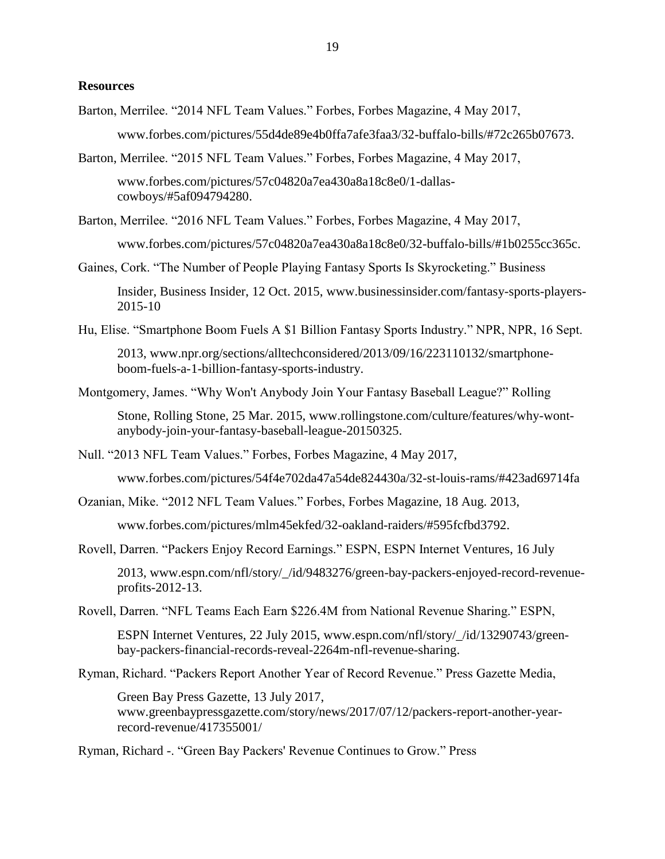# **Resources**

- Barton, Merrilee. "2014 NFL Team Values." Forbes, Forbes Magazine, 4 May 2017, [www.forbes.com/pictures/55d4de89e4b0ffa7afe3faa3/32-buffalo-bills/#72c265b07673.](http://www.forbes.com/pictures/55d4de89e4b0ffa7afe3faa3/32-buffalo-bills/#72c265b07673)
- Barton, Merrilee. "2015 NFL Team Values." Forbes, Forbes Magazine, 4 May 2017,

[www.forbes.com/pictures/57c04820a7ea430a8a18c8e0/1-dallas](http://www.forbes.com/pictures/57c04820a7ea430a8a18c8e0/1-dallas-cowboys/#5af094794280)[cowboys/#5af094794280.](http://www.forbes.com/pictures/57c04820a7ea430a8a18c8e0/1-dallas-cowboys/#5af094794280)

Barton, Merrilee. "2016 NFL Team Values." Forbes, Forbes Magazine, 4 May 2017,

[www.forbes.com/pictures/57c04820a7ea430a8a18c8e0/32-buffalo-bills/#1b0255cc365c.](http://www.forbes.com/pictures/57c04820a7ea430a8a18c8e0/32-buffalo-bills/#1b0255cc365c)

Gaines, Cork. "The Number of People Playing Fantasy Sports Is Skyrocketing." Business

Insider, Business Insider, 12 Oct. 2015, [www.businessinsider.com/fantasy-sports-players-](http://www.businessinsider.com/fantasy-sports-players-2015-10)[2015-10](http://www.businessinsider.com/fantasy-sports-players-2015-10)

Hu, Elise. "Smartphone Boom Fuels A \$1 Billion Fantasy Sports Industry." NPR, NPR, 16 Sept.

2013, [www.npr.org/sections/alltechconsidered/2013/09/16/223110132/smartphone](http://www.npr.org/sections/alltechconsidered/2013/09/16/223110132/smartphone-boom-fuels-a-1-billion-fantasy-sports-industry)[boom-fuels-a-1-billion-fantasy-sports-industry.](http://www.npr.org/sections/alltechconsidered/2013/09/16/223110132/smartphone-boom-fuels-a-1-billion-fantasy-sports-industry)

Montgomery, James. "Why Won't Anybody Join Your Fantasy Baseball League?" Rolling

Stone, Rolling Stone, 25 Mar. 2015, [www.rollingstone.com/culture/features/why-wont](http://www.rollingstone.com/culture/features/why-wont-anybody-join-your-fantasy-baseball-league-20150325)[anybody-join-your-fantasy-baseball-league-20150325.](http://www.rollingstone.com/culture/features/why-wont-anybody-join-your-fantasy-baseball-league-20150325)

Null. "2013 NFL Team Values." Forbes, Forbes Magazine, 4 May 2017,

[www.forbes.com/pictures/54f4e702da47a54de824430a/32-st-louis-rams/#423ad69714fa](http://www.forbes.com/pictures/54f4e702da47a54de824430a/32-st-louis-rams/#423ad69714fa)

Ozanian, Mike. "2012 NFL Team Values." Forbes, Forbes Magazine, 18 Aug. 2013,

[www.forbes.com/pictures/mlm45ekfed/32-oakland-raiders/#595fcfbd3792.](http://www.forbes.com/pictures/mlm45ekfed/32-oakland-raiders/#595fcfbd3792)

Rovell, Darren. "Packers Enjoy Record Earnings." ESPN, ESPN Internet Ventures, 16 July

2013, [www.espn.com/nfl/story/\\_/id/9483276/green-bay-packers-enjoyed-record-revenue](http://www.espn.com/nfl/story/_/id/9483276/green-bay-packers-enjoyed-record-revenue-profits-2012-13)[profits-2012-13.](http://www.espn.com/nfl/story/_/id/9483276/green-bay-packers-enjoyed-record-revenue-profits-2012-13)

Rovell, Darren. "NFL Teams Each Earn \$226.4M from National Revenue Sharing." ESPN,

ESPN Internet Ventures, 22 July 2015, [www.espn.com/nfl/story/\\_/id/13290743/green](http://www.espn.com/nfl/story/_/id/13290743/green-bay-packers-financial-records-reveal-2264m-nfl-revenue-sharing)[bay-packers-financial-records-reveal-2264m-nfl-revenue-sharing.](http://www.espn.com/nfl/story/_/id/13290743/green-bay-packers-financial-records-reveal-2264m-nfl-revenue-sharing)

Ryman, Richard. "Packers Report Another Year of Record Revenue." Press Gazette Media,

Green Bay Press Gazette, 13 July 2017, [www.greenbaypressgazette.com/story/news/2017/07/12/packers-report-another-year](http://www.greenbaypressgazette.com/story/news/2017/07/12/packers-report-another-year-record-revenue/417355001/)[record-revenue/417355001/](http://www.greenbaypressgazette.com/story/news/2017/07/12/packers-report-another-year-record-revenue/417355001/)

Ryman, Richard -. "Green Bay Packers' Revenue Continues to Grow." Press